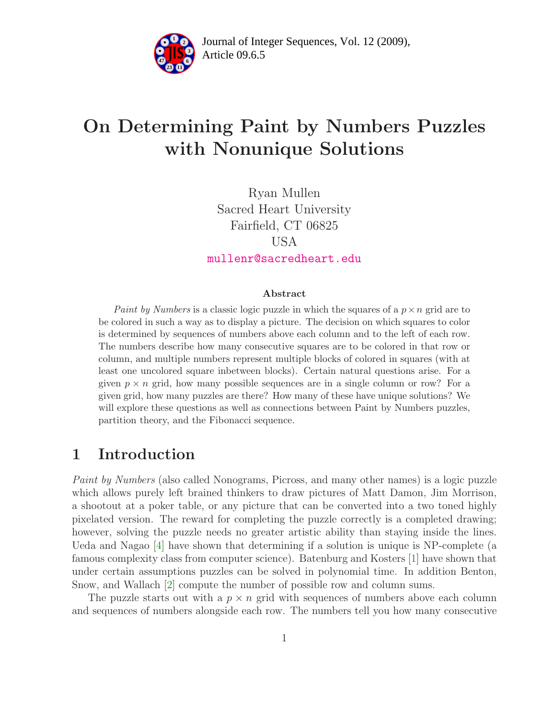

Article 09.6.5 **<sup>2</sup>** Journal of Integer Sequences, Vol. 12 (2009),

# On Determining Paint by Numbers Puzzles with Nonunique Solutions

Ryan Mullen Sacred Heart University Fairfield, CT 06825 USA [mullenr@sacredheart.edu](mailto:mullenr@sacredheart.edu)

#### Abstract

Paint by Numbers is a classic logic puzzle in which the squares of a  $p \times n$  grid are to be colored in such a way as to display a picture. The decision on which squares to color is determined by sequences of numbers above each column and to the left of each row. The numbers describe how many consecutive squares are to be colored in that row or column, and multiple numbers represent multiple blocks of colored in squares (with at least one uncolored square inbetween blocks). Certain natural questions arise. For a given  $p \times n$  grid, how many possible sequences are in a single column or row? For a given grid, how many puzzles are there? How many of these have unique solutions? We will explore these questions as well as connections between Paint by Numbers puzzles, partition theory, and the Fibonacci sequence.

### 1 Introduction

*Paint by Numbers* (also called Nonograms, Picross, and many other names) is a logic puzzle which allows purely left brained thinkers to draw pictures of Matt Damon, Jim Morrison, a shootout at a poker table, or any picture that can be converted into a two toned highly pixelated version. The reward for completing the puzzle correctly is a completed drawing; however, solving the puzzle needs no greater artistic ability than staying inside the lines. Ueda and Nagao [\[4\]](#page-18-0) have shown that determining if a solution is unique is NP-complete (a famous complexity class from computer science). Batenburg and Kosters [\[1\]](#page-18-1) have shown that under certain assumptions puzzles can be solved in polynomial time. In addition Benton, Snow, and Wallach [\[2\]](#page-18-2) compute the number of possible row and column sums.

The puzzle starts out with a  $p \times n$  grid with sequences of numbers above each column and sequences of numbers alongside each row. The numbers tell you how many consecutive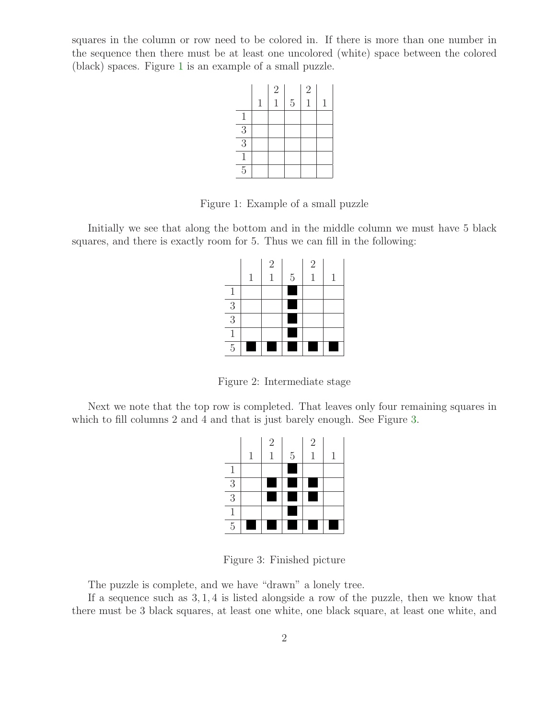squares in the column or row need to be colored in. If there is more than one number in the sequence then there must be at least one uncolored (white) space between the colored (black) spaces. Figure [1](#page-1-0) is an example of a small puzzle.



<span id="page-1-0"></span>Figure 1: Example of a small puzzle

Initially we see that along the bottom and in the middle column we must have 5 black squares, and there is exactly room for 5. Thus we can fill in the following:

|                | $\mathbf{1}$ | $\sqrt{2}$<br>1 | $\rm 5$ | $\sqrt{2}$<br>1 | 1 |
|----------------|--------------|-----------------|---------|-----------------|---|
| $\mathbf{1}$   |              |                 |         |                 |   |
| $\overline{3}$ |              |                 |         |                 |   |
| $\overline{3}$ |              |                 |         |                 |   |
| $\mathbf{1}$   |              |                 |         |                 |   |
| $\overline{5}$ |              |                 |         |                 |   |

Figure 2: Intermediate stage

Next we note that the top row is completed. That leaves only four remaining squares in which to fill columns 2 and 4 and that is just barely enough. See Figure [3.](#page-1-1)

|                | 1 | $\sqrt{2}$ | $\overline{5}$ | $\overline{2}$ | 1 |
|----------------|---|------------|----------------|----------------|---|
| $\mathbf{1}$   |   |            |                |                |   |
| $\overline{3}$ |   |            |                |                |   |
| $\overline{3}$ |   |            |                |                |   |
| $\mathbf{1}$   |   |            |                |                |   |
| $\overline{5}$ |   |            |                |                |   |

<span id="page-1-1"></span>Figure 3: Finished picture

The puzzle is complete, and we have "drawn" a lonely tree.

If a sequence such as 3, 1, 4 is listed alongside a row of the puzzle, then we know that there must be 3 black squares, at least one white, one black square, at least one white, and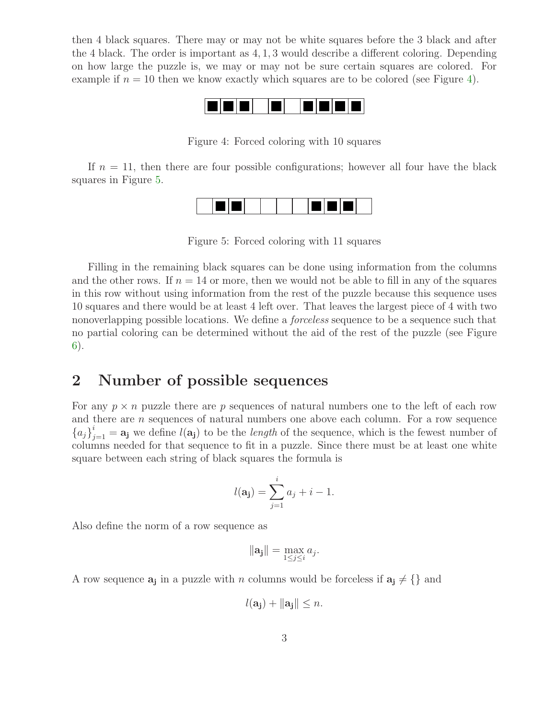then 4 black squares. There may or may not be white squares before the 3 black and after the 4 black. The order is important as 4, 1, 3 would describe a different coloring. Depending on how large the puzzle is, we may or may not be sure certain squares are colored. For example if  $n = 10$  then we know exactly which squares are to be colored (see Figure [4\)](#page-2-0).



<span id="page-2-0"></span>Figure 4: Forced coloring with 10 squares

If  $n = 11$ , then there are four possible configurations; however all four have the black squares in Figure [5.](#page-2-1)



<span id="page-2-1"></span>Figure 5: Forced coloring with 11 squares

Filling in the remaining black squares can be done using information from the columns and the other rows. If  $n = 14$  or more, then we would not be able to fill in any of the squares in this row without using information from the rest of the puzzle because this sequence uses 10 squares and there would be at least 4 left over. That leaves the largest piece of 4 with two nonoverlapping possible locations. We define a *forceless* sequence to be a sequence such that no partial coloring can be determined without the aid of the rest of the puzzle (see Figure [6\)](#page-4-0).

### 2 Number of possible sequences

For any  $p \times n$  puzzle there are p sequences of natural numbers one to the left of each row and there are *n* sequences of natural numbers one above each column. For a row sequence  ${a_j}_{j=1}^i = \mathbf{a_j}$  we define  $l(\mathbf{a_j})$  to be the *length* of the sequence, which is the fewest number of columns needed for that sequence to fit in a puzzle. Since there must be at least one white square between each string of black squares the formula is

$$
l(\mathbf{a_j}) = \sum_{j=1}^{i} a_j + i - 1.
$$

Also define the norm of a row sequence as

$$
\|\mathbf{a_j}\| = \max_{1 \le j \le i} a_j.
$$

A row sequence  $a_j$  in a puzzle with n columns would be forceless if  $a_j \neq \{\}$  and

 $l(a_i) + ||a_i|| < n.$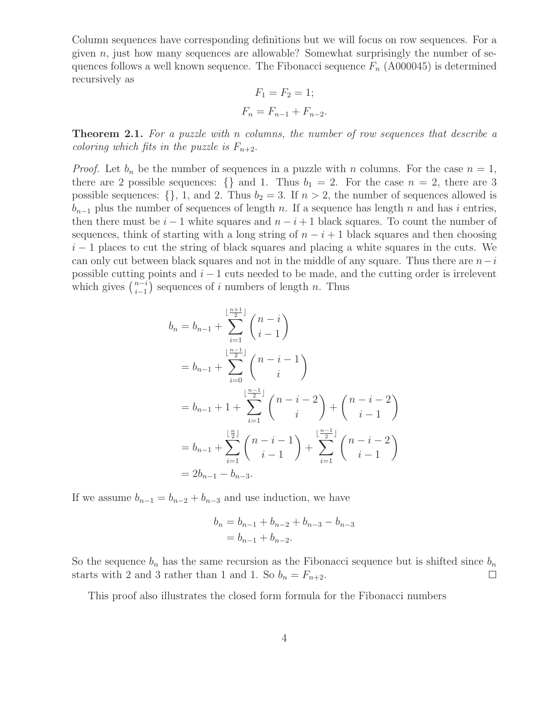Column sequences have corresponding definitions but we will focus on row sequences. For a given  $n$ , just how many sequences are allowable? Somewhat surprisingly the number of sequences follows a well known sequence. The Fibonacci sequence  $F_n$  (A000045) is determined recursively as

$$
F_1 = F_2 = 1;
$$
  

$$
F_n = F_{n-1} + F_{n-2}.
$$

Theorem 2.1. *For a puzzle with* n *columns, the number of row sequences that describe a coloring which fits in the puzzle is*  $F_{n+2}$ *.* 

*Proof.* Let  $b_n$  be the number of sequences in a puzzle with n columns. For the case  $n = 1$ , there are 2 possible sequences: {} and 1. Thus  $b_1 = 2$ . For the case  $n = 2$ , there are 3 possible sequences: {}, 1, and 2. Thus  $b_2 = 3$ . If  $n > 2$ , the number of sequences allowed is  $b_{n-1}$  plus the number of sequences of length n. If a sequence has length n and has i entries, then there must be  $i-1$  white squares and  $n-i+1$  black squares. To count the number of sequences, think of starting with a long string of  $n - i + 1$  black squares and then choosing  $i-1$  places to cut the string of black squares and placing a white squares in the cuts. We can only cut between black squares and not in the middle of any square. Thus there are  $n-i$ possible cutting points and  $i - 1$  cuts needed to be made, and the cutting order is irrelevent which gives  $\binom{n-i}{i-1}$  $i-1$ ) sequences of i numbers of length n. Thus

$$
b_n = b_{n-1} + \sum_{i=1}^{\lfloor \frac{n+1}{2} \rfloor} {n-i \choose i-1}
$$
  
=  $b_{n-1} + \sum_{i=0}^{\lfloor \frac{n-1}{2} \rfloor} {n-i-1 \choose i}$   
=  $b_{n-1} + 1 + \sum_{i=1}^{\lfloor \frac{n-1}{2} \rfloor} {n-i-2 \choose i} + {n-i-2 \choose i-1}$   
=  $b_{n-1} + \sum_{i=1}^{\lfloor \frac{n}{2} \rfloor} {n-i-1 \choose i-1} + \sum_{i=1}^{\lfloor \frac{n-1}{2} \rfloor} {n-i-2 \choose i-1}$   
=  $2b_{n-1} - b_{n-3}$ .

If we assume  $b_{n-1} = b_{n-2} + b_{n-3}$  and use induction, we have

$$
b_n = b_{n-1} + b_{n-2} + b_{n-3} - b_{n-3}
$$
  
=  $b_{n-1} + b_{n-2}$ .

So the sequence  $b_n$  has the same recursion as the Fibonacci sequence but is shifted since  $b_n$ starts with 2 and 3 rather than 1 and 1. So  $b_n = F_{n+2}$ .  $\Box$ 

This proof also illustrates the closed form formula for the Fibonacci numbers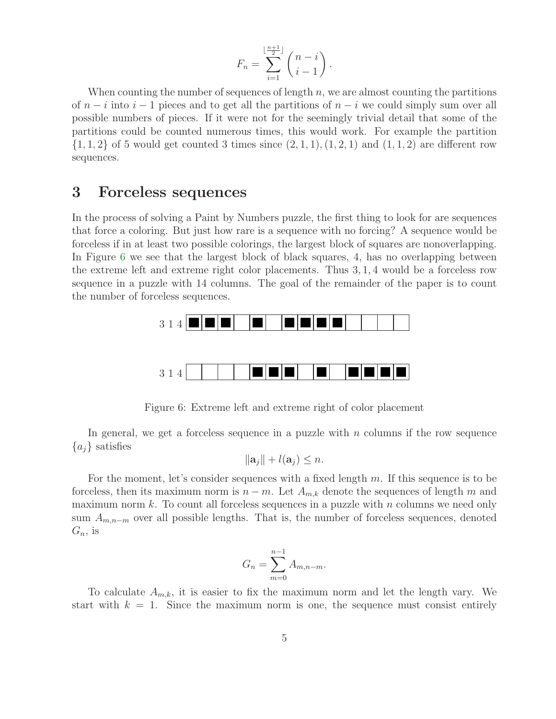$$
F_n = \sum_{i=1}^{\lfloor \frac{n+1}{2} \rfloor} \binom{n-i}{i-1}.
$$

When counting the number of sequences of length  $n$ , we are almost counting the partitions of  $n - i$  into  $i - 1$  pieces and to get all the partitions of  $n - i$  we could simply sum over all possible numbers of pieces. If it were not for the seemingly trivial detail that some of the partitions could be counted numerous times, this would work. For example the partition  $\{1, 1, 2\}$  of 5 would get counted 3 times since  $(2, 1, 1), (1, 2, 1)$  and  $(1, 1, 2)$  are different row sequences.

### 3 Forceless sequences

In the process of solving a Paint by Numbers puzzle, the first thing to look for are sequences that force a coloring. But just how rare is a sequence with no forcing? A sequence would be forceless if in at least two possible colorings, the largest block of squares are nonoverlapping. In Figure [6](#page-4-0) we see that the largest block of black squares, 4, has no overlapping between the extreme left and extreme right color placements. Thus 3, 1, 4 would be a forceless row sequence in a puzzle with 14 columns. The goal of the remainder of the paper is to count the number of forceless sequences.



<span id="page-4-0"></span>Figure 6: Extreme left and extreme right of color placement

In general, we get a forceless sequence in a puzzle with  $n$  columns if the row sequence  ${a_i}$  satisfies

$$
\|\mathbf{a}_j\| + l(\mathbf{a}_j) \leq n.
$$

For the moment, let's consider sequences with a fixed length m. If this sequence is to be forceless, then its maximum norm is  $n - m$ . Let  $A_{m,k}$  denote the sequences of length m and maximum norm  $k$ . To count all forceless sequences in a puzzle with  $n$  columns we need only sum  $A_{m,n-m}$  over all possible lengths. That is, the number of forceless sequences, denoted  $G_n$ , is

$$
G_n = \sum_{m=0}^{n-1} A_{m,n-m}.
$$

To calculate  $A_{m,k}$ , it is easier to fix the maximum norm and let the length vary. We start with  $k = 1$ . Since the maximum norm is one, the sequence must consist entirely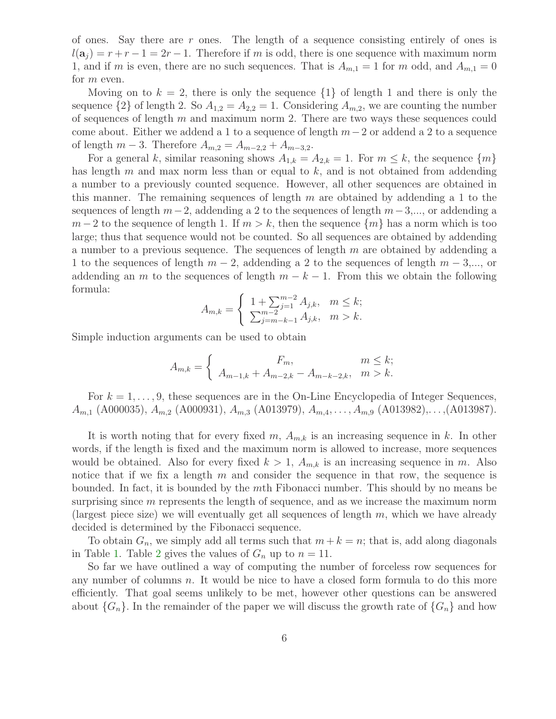of ones. Say there are r ones. The length of a sequence consisting entirely of ones is  $l(\mathbf{a}_j) = r + r - 1 = 2r - 1$ . Therefore if m is odd, there is one sequence with maximum norm 1, and if m is even, there are no such sequences. That is  $A_{m,1} = 1$  for m odd, and  $A_{m,1} = 0$ for m even.

Moving on to  $k = 2$ , there is only the sequence  $\{1\}$  of length 1 and there is only the sequence  $\{2\}$  of length 2. So  $A_{1,2} = A_{2,2} = 1$ . Considering  $A_{m,2}$ , we are counting the number of sequences of length  $m$  and maximum norm 2. There are two ways these sequences could come about. Either we addend a 1 to a sequence of length  $m-2$  or addend a 2 to a sequence of length  $m - 3$ . Therefore  $A_{m,2} = A_{m-2,2} + A_{m-3,2}$ .

For a general k, similar reasoning shows  $A_{1,k} = A_{2,k} = 1$ . For  $m \leq k$ , the sequence  $\{m\}$ has length  $m$  and max norm less than or equal to  $k$ , and is not obtained from addending a number to a previously counted sequence. However, all other sequences are obtained in this manner. The remaining sequences of length  $m$  are obtained by addending a 1 to the sequences of length  $m-2$ , addending a 2 to the sequences of length  $m-3, \ldots$ , or addending a  $m-2$  to the sequence of length 1. If  $m > k$ , then the sequence  $\{m\}$  has a norm which is too large; thus that sequence would not be counted. So all sequences are obtained by addending a number to a previous sequence. The sequences of length  $m$  are obtained by addending a 1 to the sequences of length  $m-2$ , addending a 2 to the sequences of length  $m-3,\dots$ , or addending an m to the sequences of length  $m - k - 1$ . From this we obtain the following formula:

$$
A_{m,k} = \begin{cases} 1 + \sum_{j=1}^{m-2} A_{j,k}, & m \leq k; \\ \sum_{j=m-k-1}^{m-2} A_{j,k}, & m > k. \end{cases}
$$

Simple induction arguments can be used to obtain

$$
A_{m,k} = \begin{cases} F_m, & m \le k; \\ A_{m-1,k} + A_{m-2,k} - A_{m-k-2,k}, & m > k. \end{cases}
$$

For  $k = 1, \ldots, 9$ , these sequences are in the On-Line Encyclopedia of Integer Sequences,  $A_{m,1}$  (A000035),  $A_{m,2}$  (A000931),  $A_{m,3}$  (A013979),  $A_{m,4}, \ldots, A_{m,9}$  (A013982),..., (A013987).

It is worth noting that for every fixed m,  $A_{m,k}$  is an increasing sequence in k. In other words, if the length is fixed and the maximum norm is allowed to increase, more sequences would be obtained. Also for every fixed  $k > 1$ ,  $A_{m,k}$  is an increasing sequence in m. Also notice that if we fix a length  $m$  and consider the sequence in that row, the sequence is bounded. In fact, it is bounded by the mth Fibonacci number. This should by no means be surprising since  $m$  represents the length of sequence, and as we increase the maximum norm (largest piece size) we will eventually get all sequences of length  $m$ , which we have already decided is determined by the Fibonacci sequence.

To obtain  $G_n$ , we simply add all terms such that  $m + k = n$ ; that is, add along diagonals in Table [1.](#page-6-0) Table [2](#page-6-1) gives the values of  $G_n$  up to  $n = 11$ .

So far we have outlined a way of computing the number of forceless row sequences for any number of columns  $n$ . It would be nice to have a closed form formula to do this more efficiently. That goal seems unlikely to be met, however other questions can be answered about  $\{G_n\}$ . In the remainder of the paper we will discuss the growth rate of  $\{G_n\}$  and how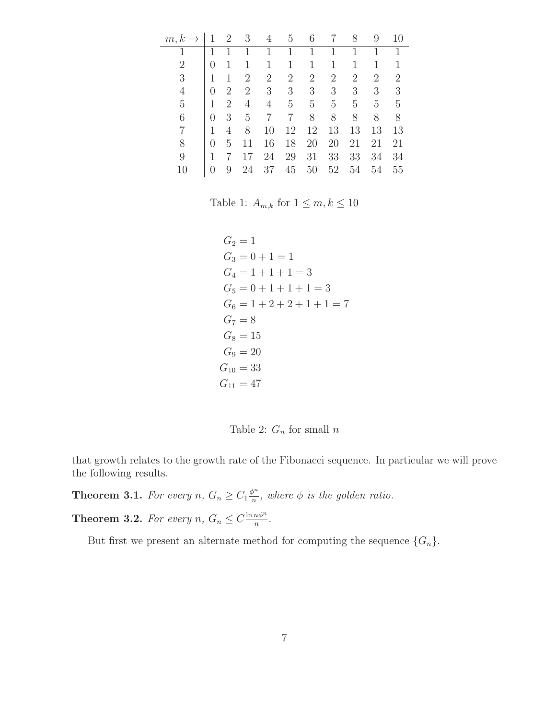| $m, k \rightarrow$ |                  | $\overline{2}$ | 3              | 4  | 5              | 6              |    | 8  | 9  | 10             |
|--------------------|------------------|----------------|----------------|----|----------------|----------------|----|----|----|----------------|
| 1                  |                  |                | 1              | 1  | 1              | 1              | 1  | 1  | 1  | 1              |
| 2                  |                  |                |                | 1  | 1              | 1              |    |    |    |                |
| 3                  |                  |                | 2              | 2  | $\overline{2}$ | $\overline{2}$ | 2  | 2  | 2  | $\overline{2}$ |
| $\overline{4}$     | $\left( \right)$ | 2              | $\overline{2}$ | 3  | 3              | 3              | 3  | 3  | 3  | 3              |
| 5                  |                  | 2              | $\overline{4}$ | 4  | 5              | $\overline{5}$ | 5  | 5  | 5  | 5              |
| 6                  |                  | 3              | 5              | 7  | 7              | 8              | 8  | 8  | 8  | 8              |
|                    | 1                | 4              | 8              | 10 | 12             | 12             | 13 | 13 | 13 | 13             |
| 8                  |                  | 5              | 11             | 16 | 18             | 20             | 20 | 21 | 21 | 21             |
| 9                  |                  |                | 17             | 24 | 29             | 31             | 33 | 33 | 34 | 34             |
| 10                 | $\left( \right)$ | 9              | 24             | 37 | 45             | 50             | 52 | 54 | 54 | 55             |
|                    |                  |                |                |    |                |                |    |    |    |                |

Table 1:  $A_{m,k}$  for  $1 \leq m, k \leq 10$ 

<span id="page-6-0"></span> $G_2 = 1$  $G_3 = 0 + 1 = 1$  $G_4 = 1 + 1 + 1 = 3$  $G_5 = 0 + 1 + 1 + 1 = 3$  $G_6 = 1 + 2 + 2 + 1 + 1 = 7$  $G_7 = 8$  $G_8 = 15$  $G_9 = 20$  $G_{10} = 33$  $G_{11} = 47$ 

<span id="page-6-1"></span>Table 2:  $G_n$  for small  $n$ 

<span id="page-6-2"></span>that growth relates to the growth rate of the Fibonacci sequence. In particular we will prove the following results.

**Theorem 3.1.** For every  $n, G_n \geq C_1 \frac{\phi^n}{n}$  $\frac{b^n}{n}$ , where  $\phi$  *is the golden ratio.* 

<span id="page-6-3"></span>**Theorem 3.2.** For every  $n, G_n \leq C \frac{\ln n \phi^n}{n}$  $\frac{n\phi^n}{n}$ .

But first we present an alternate method for computing the sequence  $\{G_n\}$ .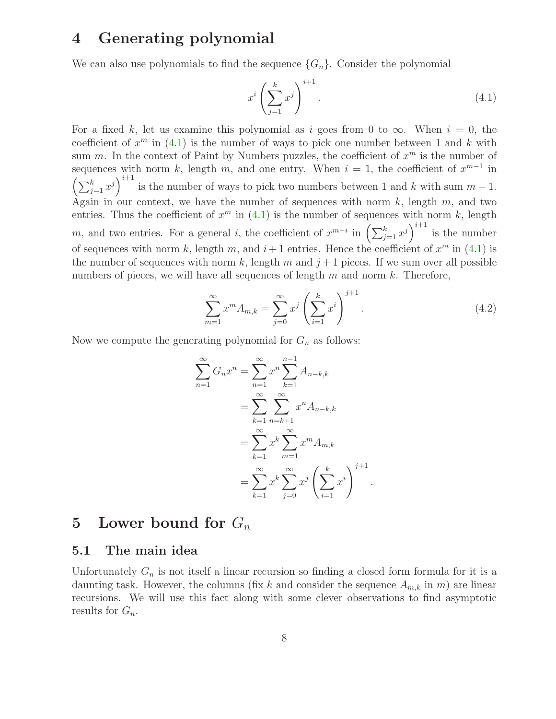# 4 Generating polynomial

We can also use polynomials to find the sequence  $\{G_n\}$ . Consider the polynomial

<span id="page-7-0"></span>
$$
x^i \left(\sum_{j=1}^k x^j\right)^{i+1}.\tag{4.1}
$$

For a fixed k, let us examine this polynomial as i goes from 0 to  $\infty$ . When  $i = 0$ , the coefficient of  $x^m$  in  $(4.1)$  is the number of ways to pick one number between 1 and k with sum m. In the context of Paint by Numbers puzzles, the coefficient of  $x^m$  is the number of sequences with norm k, length m, and one entry. When  $i = 1$ , the coefficient of  $x^{m-1}$  in  $\left(\sum_{j=1}^k x^j\right)^{i+1}$  is the number of ways to pick two numbers between 1 and k with sum  $m-1$ . Again in our context, we have the number of sequences with norm  $k$ , length  $m$ , and two entries. Thus the coefficient of  $x^m$  in [\(4.1\)](#page-7-0) is the number of sequences with norm k, length m, and two entries. For a general i, the coefficient of  $x^{m-i}$  in  $\left(\sum_{j=1}^{k} x^j\right)^{i+1}$  is the number of sequences with norm k, length m, and  $i+1$  entries. Hence the coefficient of  $x^m$  in [\(4.1\)](#page-7-0) is the number of sequences with norm k, length m and  $j+1$  pieces. If we sum over all possible numbers of pieces, we will have all sequences of length  $m$  and norm  $k$ . Therefore,

$$
\sum_{m=1}^{\infty} x^m A_{m,k} = \sum_{j=0}^{\infty} x^j \left(\sum_{i=1}^k x^i\right)^{j+1}.
$$
 (4.2)

Now we compute the generating polynomial for  $G_n$  as follows:

$$
\sum_{n=1}^{\infty} G_n x^n = \sum_{n=1}^{\infty} x^n \sum_{k=1}^{n-1} A_{n-k,k}
$$
  
= 
$$
\sum_{k=1}^{\infty} \sum_{n=k+1}^{\infty} x^n A_{n-k,k}
$$
  
= 
$$
\sum_{k=1}^{\infty} x^k \sum_{m=1}^{\infty} x^m A_{m,k}
$$
  
= 
$$
\sum_{k=1}^{\infty} x^k \sum_{j=0}^{\infty} x^j \left(\sum_{i=1}^k x^i\right)^{j+1}.
$$

### 5 Lower bound for  $G_n$

#### 5.1 The main idea

Unfortunately  $G_n$  is not itself a linear recursion so finding a closed form formula for it is a daunting task. However, the columns (fix k and consider the sequence  $A_{m,k}$  in m) are linear recursions. We will use this fact along with some clever observations to find asymptotic results for  $G_n$ .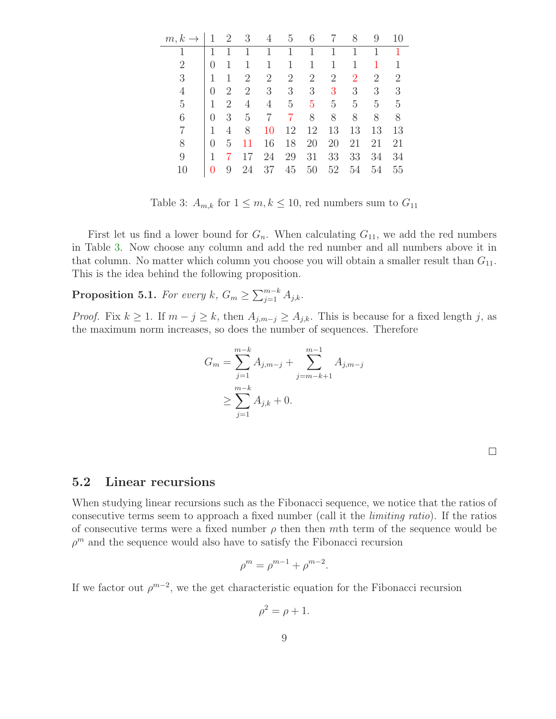| m, k<br>$\rightarrow$ | 1        | $\overline{2}$ | 3              | 4              | 5              | 6              |    | 8              | 9              | 10 |
|-----------------------|----------|----------------|----------------|----------------|----------------|----------------|----|----------------|----------------|----|
|                       | 1        |                | 1              | 1              | 1              | 1              | 1  | 1              | 1              | 1  |
| $\overline{2}$        | $\Omega$ | 1              |                | 1              |                | 1              | 1  |                |                |    |
| 3                     | 1        | 1              | 2              | $\overline{2}$ | $\overline{2}$ | $\overline{2}$ | 2  | $\overline{2}$ | $\overline{2}$ | 2  |
| 4                     | 0        | 2              | $\overline{2}$ | 3              | 3              | 3              | 3  | 3              | 3              | 3  |
| 5                     | 1        | 2              | 4              | 4              | $\overline{5}$ | 5              | 5  | 5              | 5              | 5  |
| 6                     | 0        | 3              | 5              | 7              | 7              | 8              | 8  | 8              | 8              | 8  |
|                       | 1        | 4              | 8              | 10             | 12             | 12             | 13 | 13             | 13             | 13 |
| 8                     | $\theta$ | 5              | 11             | 16             | 18             | 20             | 20 | 21             | 21             | 21 |
| 9                     | 1        |                | 17             | 24             | 29             | 31             | 33 | 33             | 34             | 34 |
| 10                    | 0        | 9              | 24             | 37             | 45             | 50             | 52 | 54             | 54             | 55 |

<span id="page-8-0"></span>Table 3:  $A_{m,k}$  for  $1 \leq m, k \leq 10$ , red numbers sum to  $G_{11}$ 

First let us find a lower bound for  $G_n$ . When calculating  $G_{11}$ , we add the red numbers in Table [3.](#page-8-0) Now choose any column and add the red number and all numbers above it in that column. No matter which column you choose you will obtain a smaller result than  $G_{11}$ . This is the idea behind the following proposition.

<span id="page-8-1"></span>**Proposition 5.1.** *For every*  $k$ ,  $G_m \ge \sum_{j=1}^{m-k} A_{j,k}$ .

*Proof.* Fix  $k \geq 1$ . If  $m - j \geq k$ , then  $A_{j,m-j} \geq A_{j,k}$ . This is because for a fixed length j, as the maximum norm increases, so does the number of sequences. Therefore

$$
G_m = \sum_{j=1}^{m-k} A_{j,m-j} + \sum_{j=m-k+1}^{m-1} A_{j,m-j}
$$
  
 
$$
\geq \sum_{j=1}^{m-k} A_{j,k} + 0.
$$

 $\Box$ 

#### 5.2 Linear recursions

When studying linear recursions such as the Fibonacci sequence, we notice that the ratios of consecutive terms seem to approach a fixed number (call it the *limiting ratio*). If the ratios of consecutive terms were a fixed number  $\rho$  then then mth term of the sequence would be  $\rho^m$  and the sequence would also have to satisfy the Fibonacci recursion

$$
\rho^m = \rho^{m-1} + \rho^{m-2}.
$$

If we factor out  $\rho^{m-2}$ , we the get characteristic equation for the Fibonacci recursion

$$
\rho^2 = \rho + 1.
$$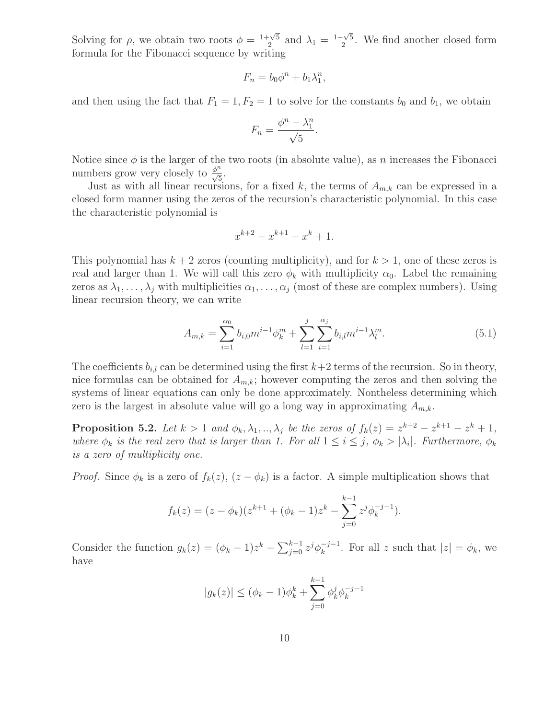Solving for  $\rho$ , we obtain two roots  $\phi = \frac{1+\sqrt{5}}{2}$  $\frac{\sqrt{5}}{2}$  and  $\lambda_1 = \frac{1-\sqrt{5}}{2}$  $\frac{20}{2}$ . We find another closed form formula for the Fibonacci sequence by writing

$$
F_n = b_0 \phi^n + b_1 \lambda_1^n,
$$

and then using the fact that  $F_1 = 1, F_2 = 1$  to solve for the constants  $b_0$  and  $b_1$ , we obtain

$$
F_n = \frac{\phi^n - \lambda_1^n}{\sqrt{5}}.
$$

Notice since  $\phi$  is the larger of the two roots (in absolute value), as n increases the Fibonacci numbers grow very closely to  $\frac{\phi^n}{\sqrt{5}}$ .

Just as with all linear recursions, for a fixed k, the terms of  $A_{m,k}$  can be expressed in a closed form manner using the zeros of the recursion's characteristic polynomial. In this case the characteristic polynomial is

<span id="page-9-0"></span>
$$
x^{k+2} - x^{k+1} - x^k + 1.
$$

This polynomial has  $k + 2$  zeros (counting multiplicity), and for  $k > 1$ , one of these zeros is real and larger than 1. We will call this zero  $\phi_k$  with multiplicity  $\alpha_0$ . Label the remaining zeros as  $\lambda_1, \ldots, \lambda_j$  with multiplicities  $\alpha_1, \ldots, \alpha_j$  (most of these are complex numbers). Using linear recursion theory, we can write

$$
A_{m,k} = \sum_{i=1}^{\alpha_0} b_{i,0} m^{i-1} \phi_k^m + \sum_{l=1}^j \sum_{i=1}^{\alpha_j} b_{i,l} m^{i-1} \lambda_l^m.
$$
 (5.1)

The coefficients  $b_{i,l}$  can be determined using the first  $k+2$  terms of the recursion. So in theory, nice formulas can be obtained for  $A_{m,k}$ ; however computing the zeros and then solving the systems of linear equations can only be done approximately. Nontheless determining which zero is the largest in absolute value will go a long way in approximating  $A_{m,k}$ .

<span id="page-9-1"></span>**Proposition 5.2.** Let  $k > 1$  and  $\phi_k, \lambda_1, ..., \lambda_j$  be the zeros of  $f_k(z) = z^{k+2} - z^{k+1} - z^k + 1$ , *where*  $\phi_k$  *is the real zero that is larger than 1. For all*  $1 \leq i \leq j$ ,  $\phi_k > |\lambda_i|$ *. Furthermore,*  $\phi_k$ *is a zero of multiplicity one.*

*Proof.* Since  $\phi_k$  is a zero of  $f_k(z)$ ,  $(z - \phi_k)$  is a factor. A simple multiplication shows that

$$
f_k(z) = (z - \phi_k)(z^{k+1} + (\phi_k - 1)z^k - \sum_{j=0}^{k-1} z^j \phi_k^{-j-1}).
$$

Consider the function  $g_k(z) = (\phi_k - 1)z^k - \sum_{j=0}^{k-1} z^j \phi_k^{-j-1}$ . For all z such that  $|z| = \phi_k$ , we have

$$
|g_k(z)| \le (\phi_k - 1)\phi_k^k + \sum_{j=0}^{k-1} \phi_k^j \phi_k^{-j-1}
$$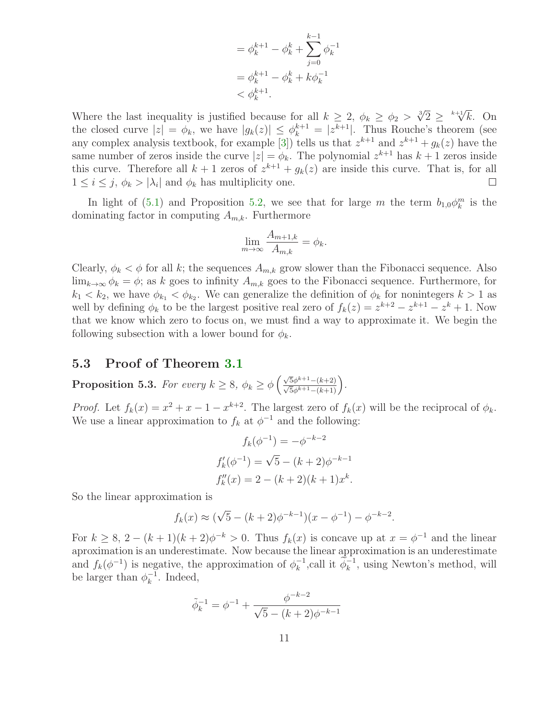$$
= \phi_k^{k+1} - \phi_k^k + \sum_{j=0}^{k-1} \phi_k^{-1}
$$

$$
= \phi_k^{k+1} - \phi_k^k + k\phi_k^{-1}
$$

$$
< \phi_k^{k+1}.
$$

Where the last inequality is justified because for all  $k \geq 2$ ,  $\phi_k \geq \phi_2 > \sqrt[3]{2} \geq \sqrt[k+1]{k}$ . On the closed curve  $|z| = \phi_k$ , we have  $|g_k(z)| \leq \phi_k^{k+1} = |z^{k+1}|$ . Thus Rouche's theorem (see any complex analysis textbook, for example [\[3\]](#page-18-3)) tells us that  $z^{k+1}$  and  $z^{k+1} + g_k(z)$  have the same number of zeros inside the curve  $|z| = \phi_k$ . The polynomial  $z^{k+1}$  has  $k+1$  zeros inside this curve. Therefore all  $k + 1$  zeros of  $z^{k+1} + g_k(z)$  are inside this curve. That is, for all  $1 \leq i \leq j, \phi_k > |\lambda_i|$  and  $\phi_k$  has multiplicity one. П

In light of [\(5.1\)](#page-9-0) and Proposition [5.2,](#page-9-1) we see that for large m the term  $b_{1,0}\phi_k^m$  is the dominating factor in computing  $A_{m,k}$ . Furthermore

$$
\lim_{m \to \infty} \frac{A_{m+1,k}}{A_{m,k}} = \phi_k.
$$

Clearly,  $\phi_k < \phi$  for all k; the sequences  $A_{m,k}$  grow slower than the Fibonacci sequence. Also  $\lim_{k\to\infty}\phi_k=\phi$ ; as k goes to infinity  $A_{m,k}$  goes to the Fibonacci sequence. Furthermore, for  $k_1 < k_2$ , we have  $\phi_{k_1} < \phi_{k_2}$ . We can generalize the definition of  $\phi_k$  for nonintegers  $k > 1$  as well by defining  $\phi_k$  to be the largest positive real zero of  $f_k(z) = z^{k+2} - z^{k+1} - z^k + 1$ . Now that we know which zero to focus on, we must find a way to approximate it. We begin the following subsection with a lower bound for  $\phi_k$ .

#### <span id="page-10-0"></span>5.3 Proof of Theorem [3.1](#page-6-2)

**Proposition 5.3.** *For every*  $k \ge 8$ ,  $\phi_k \ge \phi \left( \frac{\sqrt{5} \phi^{k+1} - (k+2)}{\sqrt{5} \phi^{k+1} - (k+1)} \right)$ .

*Proof.* Let  $f_k(x) = x^2 + x - 1 - x^{k+2}$ . The largest zero of  $f_k(x)$  will be the reciprocal of  $\phi_k$ . We use a linear approximation to  $f_k$  at  $\phi^{-1}$  and the following:

$$
f_k(\phi^{-1}) = -\phi^{-k-2}
$$
  

$$
f'_k(\phi^{-1}) = \sqrt{5} - (k+2)\phi^{-k-1}
$$
  

$$
f''_k(x) = 2 - (k+2)(k+1)x^k.
$$

So the linear approximation is

$$
f_k(x) \approx (\sqrt{5} - (k+2)\phi^{-k-1})(x - \phi^{-1}) - \phi^{-k-2}.
$$

For  $k \geq 8$ ,  $2 - (k+1)(k+2)\phi^{-k} > 0$ . Thus  $f_k(x)$  is concave up at  $x = \phi^{-1}$  and the linear aproximation is an underestimate. Now because the linear approximation is an underestimate and  $f_k(\phi^{-1})$  is negative, the approximation of  $\phi_k^{-1}$ , call it  $\phi_k^{-1}$ , using Newton's method, will be larger than  $\phi_k^{-1}$ . Indeed,

$$
\tilde{\phi}_k^{-1} = \phi^{-1} + \frac{\phi^{-k-2}}{\sqrt{5 - (k+2)\phi^{-k-1}}}
$$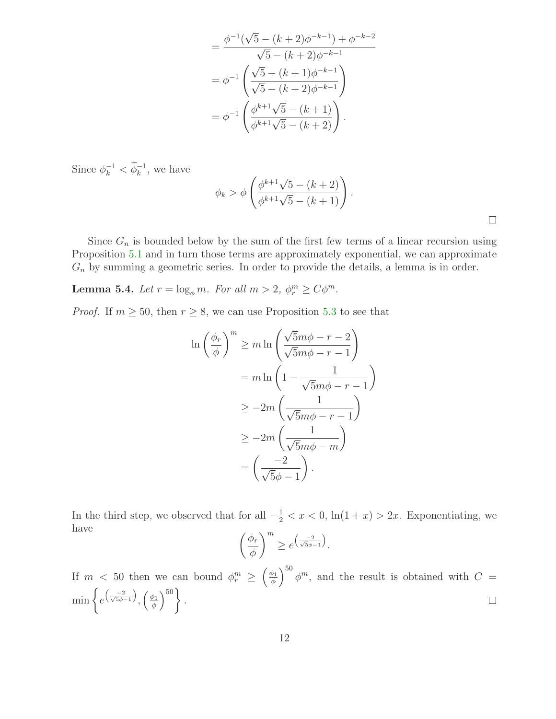$$
= \frac{\phi^{-1}(\sqrt{5} - (k+2)\phi^{-k-1}) + \phi^{-k-2}}{\sqrt{5} - (k+2)\phi^{-k-1}}
$$

$$
= \phi^{-1}\left(\frac{\sqrt{5} - (k+1)\phi^{-k-1}}{\sqrt{5} - (k+2)\phi^{-k-1}}\right)
$$

$$
= \phi^{-1}\left(\frac{\phi^{k+1}\sqrt{5} - (k+1)}{\phi^{k+1}\sqrt{5} - (k+2)}\right).
$$

Since  $\phi_k^{-1} < \phi_k^{-1}$ , we have

$$
\phi_k > \phi \left( \frac{\phi^{k+1}\sqrt{5} - (k+2)}{\phi^{k+1}\sqrt{5} - (k+1)} \right).
$$

Since  $G_n$  is bounded below by the sum of the first few terms of a linear recursion using Proposition [5.1](#page-8-1) and in turn those terms are approximately exponential, we can approximate  $G_n$  by summing a geometric series. In order to provide the details, a lemma is in order.

<span id="page-11-0"></span>**Lemma 5.4.** *Let*  $r = \log_{\phi} m$ *. For all*  $m > 2$ ,  $\phi_r^m \ge C\phi^m$ *.* 

*Proof.* If  $m \ge 50$ , then  $r \ge 8$ , we can use Proposition [5.3](#page-10-0) to see that

$$
\ln\left(\frac{\phi_r}{\phi}\right)^m \ge m \ln\left(\frac{\sqrt{5}m\phi - r - 2}{\sqrt{5}m\phi - r - 1}\right)
$$
  
=  $m \ln\left(1 - \frac{1}{\sqrt{5}m\phi - r - 1}\right)$   
 $\ge -2m\left(\frac{1}{\sqrt{5}m\phi - r - 1}\right)$   
 $\ge -2m\left(\frac{1}{\sqrt{5}m\phi - m}\right)$   
=  $\left(\frac{-2}{\sqrt{5}\phi - 1}\right).$ 

In the third step, we observed that for all  $-\frac{1}{2} < x < 0$ ,  $\ln(1+x) > 2x$ . Exponentiating, we have

$$
\left(\frac{\phi_r}{\phi}\right)^m \geq e^{\left(\frac{-2}{\sqrt{5}\phi - 1}\right)}.
$$

 $\int_{0}^{50} \phi^{m}$ , and the result is obtained with  $C =$  $\int$   $\phi_1$ If  $m \leq 50$  then we can bound  $\phi_r^m \geq$ φ  $\min\left\{e^{\left(\frac{-2}{\sqrt{5}\phi-1}\right)}\right\}$  $\Big)^{50}$ .  $\int_{\gamma_1} \left( \frac{\phi_1}{\phi_2} \right)$  $\Box$ φ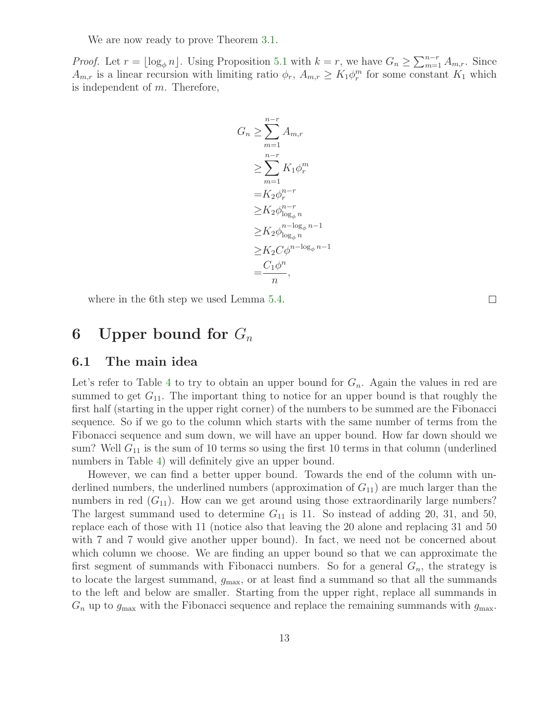We are now ready to prove Theorem [3.1.](#page-6-2)

*Proof.* Let  $r = \lfloor \log_{\phi} n \rfloor$ . Using Proposition [5.1](#page-8-1) with  $k = r$ , we have  $G_n \ge \sum_{m=1}^{n-r} A_{m,r}$ . Since  $A_{m,r}$  is a linear recursion with limiting ratio  $\phi_r$ ,  $A_{m,r} \geq K_1 \phi_r^m$  for some constant  $K_1$  which is independent of  $m$ . Therefore,

$$
G_n \geq \sum_{m=1}^{n-r} A_{m,r}
$$
  
\n
$$
\geq \sum_{m=1}^{n-r} K_1 \phi_r^m
$$
  
\n
$$
= K_2 \phi_r^{n-r}
$$
  
\n
$$
\geq K_2 \phi_{\log_{\phi} n}^{n-r}
$$
  
\n
$$
\geq K_2 C \phi_{\log_{\phi} n}^{n-\log_{\phi} n-1}
$$
  
\n
$$
= \frac{C_1 \phi^n}{n},
$$

where in the 6th step we used Lemma [5.4.](#page-11-0)

### 6 Upper bound for  $G_n$

#### 6.1 The main idea

Let's refer to Table [4](#page-13-0) to try to obtain an upper bound for  $G_n$ . Again the values in red are summed to get  $G_{11}$ . The important thing to notice for an upper bound is that roughly the first half (starting in the upper right corner) of the numbers to be summed are the Fibonacci sequence. So if we go to the column which starts with the same number of terms from the Fibonacci sequence and sum down, we will have an upper bound. How far down should we sum? Well  $G_{11}$  is the sum of 10 terms so using the first 10 terms in that column (underlined numbers in Table [4\)](#page-13-0) will definitely give an upper bound.

However, we can find a better upper bound. Towards the end of the column with underlined numbers, the underlined numbers (approximation of  $G_{11}$ ) are much larger than the numbers in red  $(G_{11})$ . How can we get around using those extraordinarily large numbers? The largest summand used to determine  $G_{11}$  is 11. So instead of adding 20, 31, and 50, replace each of those with 11 (notice also that leaving the 20 alone and replacing 31 and 50 with 7 and 7 would give another upper bound). In fact, we need not be concerned about which column we choose. We are finding an upper bound so that we can approximate the first segment of summands with Fibonacci numbers. So for a general  $G_n$ , the strategy is to locate the largest summand,  $g_{\text{max}}$ , or at least find a summand so that all the summands to the left and below are smaller. Starting from the upper right, replace all summands in  $G_n$  up to  $g_{\text{max}}$  with the Fibonacci sequence and replace the remaining summands with  $g_{\text{max}}$ .

 $\Box$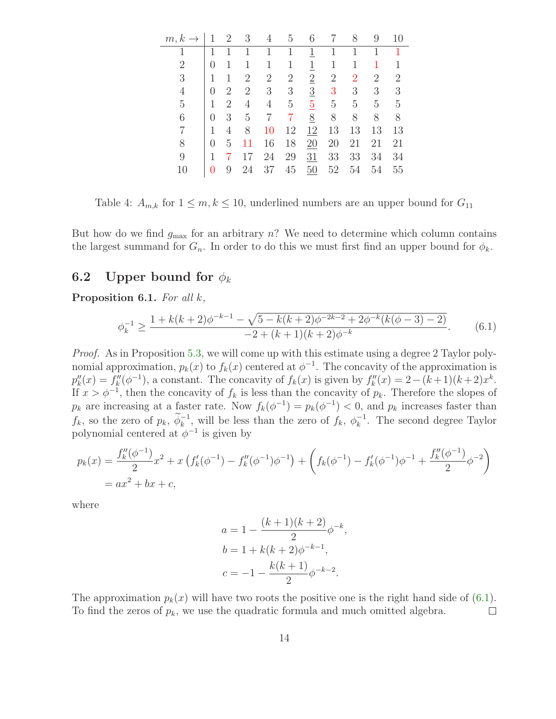| $m, k \rightarrow$ |   | 2 | 3              | 4              | 5              | 6               |                | 8              | 9              | 10             |
|--------------------|---|---|----------------|----------------|----------------|-----------------|----------------|----------------|----------------|----------------|
|                    |   |   | 1              |                | 1              | <u>1</u>        |                |                |                | 1              |
| 2                  | 0 |   |                | 1              | 1              | 1               | 1              |                | 1              | 1              |
| 3                  | 1 | 1 | $\overline{2}$ | $\overline{2}$ | $\overline{2}$ | $\overline{2}$  | $\overline{2}$ | $\overline{2}$ | $\overline{2}$ | $\overline{2}$ |
| 4                  | 0 | 2 | $\overline{2}$ | 3              | 3              | $\overline{3}$  | 3              | 3              | 3              | 3              |
| 5                  | 1 | 2 | 4              | 4              | $\overline{5}$ | $\overline{5}$  | 5              | 5              | 5              | 5              |
| 6                  | 0 | 3 | 5              | 7              | 7              | $\underline{8}$ | 8              | 8              | 8              | 8              |
|                    | 1 | 4 | 8              | 10             | 12             | 12              | 13             | 13             | 13             | 13             |
| 8                  | 0 | 5 | 11             | 16             | 18             | 20              | 20             | 21             | 21             | 21             |
| 9                  | 1 |   |                | 24             | 29             | 31              | 33             | 33             | 34             | 34             |
| 10                 |   | 9 | 24             | 37             | 45             | 50              | 52             | 54             | 54             | 55             |

<span id="page-13-0"></span>Table 4:  $A_{m,k}$  for  $1 \leq m, k \leq 10$ , underlined numbers are an upper bound for  $G_{11}$ 

But how do we find  $g_{\text{max}}$  for an arbitrary n? We need to determine which column contains the largest summand for  $G_n$ . In order to do this we must first find an upper bound for  $\phi_k$ .

#### <span id="page-13-2"></span>6.2 Upper bound for  $\phi_k$

Proposition 6.1. *For all* k*,*

<span id="page-13-1"></span>
$$
\phi_k^{-1} \ge \frac{1 + k(k+2)\phi^{-k-1} - \sqrt{5 - k(k+2)\phi^{-2k-2} + 2\phi^{-k}(k(\phi-3) - 2)}}{-2 + (k+1)(k+2)\phi^{-k}}.\tag{6.1}
$$

*Proof.* As in Proposition [5.3,](#page-10-0) we will come up with this estimate using a degree 2 Taylor polynomial approximation,  $p_k(x)$  to  $f_k(x)$  centered at  $\phi^{-1}$ . The concavity of the approximation is  $p_k''(x) = f_k''(\phi^{-1})$ , a constant. The concavity of  $f_k(x)$  is given by  $f_k''(x) = 2 - (k+1)(k+2)x^k$ . If  $x > \phi^{-1}$ , then the concavity of  $f_k$  is less than the concavity of  $p_k$ . Therefore the slopes of  $p_k$  are increasing at a faster rate. Now  $f_k(\phi^{-1}) = p_k(\phi^{-1}) < 0$ , and  $p_k$  increases faster than  $f_k$ , so the zero of  $p_k$ ,  $\phi_k^{-1}$ , will be less than the zero of  $f_k$ ,  $\phi_k^{-1}$ . The second degree Taylor polynomial centered at  $\phi^{-1}$  is given by

$$
p_k(x) = \frac{f_k''(\phi^{-1})}{2}x^2 + x\left(f_k'(\phi^{-1}) - f_k''(\phi^{-1})\phi^{-1}\right) + \left(f_k(\phi^{-1}) - f_k'(\phi^{-1})\phi^{-1} + \frac{f_k''(\phi^{-1})}{2}\phi^{-2}\right)
$$
  
=  $ax^2 + bx + c$ ,

where

$$
a = 1 - \frac{(k+1)(k+2)}{2} \phi^{-k}
$$

$$
b = 1 + k(k+2)\phi^{-k-1},
$$

$$
c = -1 - \frac{k(k+1)}{2} \phi^{-k-2}.
$$

,

The approximation  $p_k(x)$  will have two roots the positive one is the right hand side of [\(6.1\)](#page-13-1). To find the zeros of  $p_k$ , we use the quadratic formula and much omitted algebra.  $\Box$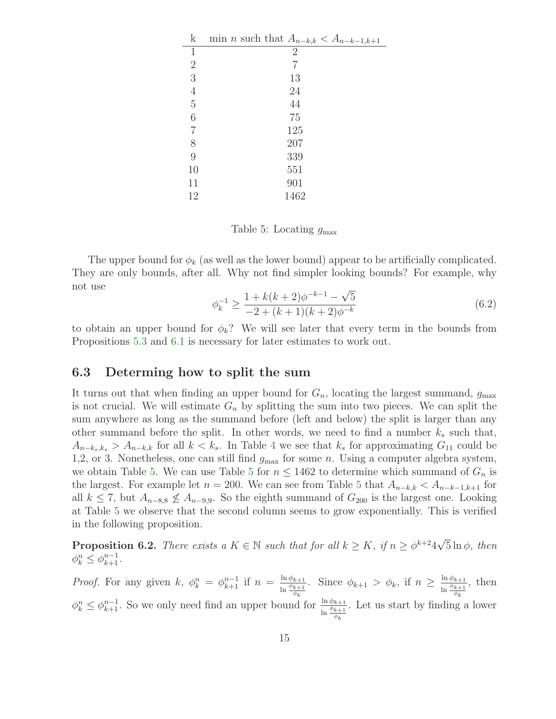| k              | min <i>n</i> such that $A_{n-k,k} < A_{n-k-1,k+1}$ |
|----------------|----------------------------------------------------|
| 1              | $\overline{2}$                                     |
| $\overline{2}$ | 7                                                  |
| 3              | 13                                                 |
| $\overline{4}$ | 24                                                 |
| $\rm 5$        | 44                                                 |
| 6              | 75                                                 |
| $\overline{7}$ | 125                                                |
| 8              | 207                                                |
| 9              | 339                                                |
| 10             | 551                                                |
| 11             | 901                                                |
| 12             | 1462                                               |

<span id="page-14-0"></span>Table 5: Locating  $g_{\text{max}}$ 

<span id="page-14-1"></span>The upper bound for  $\phi_k$  (as well as the lower bound) appear to be artificially complicated. They are only bounds, after all. Why not find simpler looking bounds? For example, why not use

$$
\phi_k^{-1} \ge \frac{1 + k(k+2)\phi^{-k-1} - \sqrt{5}}{-2 + (k+1)(k+2)\phi^{-k}}
$$
\n(6.2)

to obtain an upper bound for  $\phi_k$ ? We will see later that every term in the bounds from Propositions [5.3](#page-10-0) and [6.1](#page-13-2) is necessary for later estimates to work out.

#### 6.3 Determing how to split the sum

It turns out that when finding an upper bound for  $G_n$ , locating the largest summand,  $g_{\text{max}}$ is not crucial. We will estimate  $G_n$  by splitting the sum into two pieces. We can split the sum anywhere as long as the summand before (left and below) the split is larger than any other summand before the split. In other words, we need to find a number  $k_s$  such that,  $A_{n-k<sub>s</sub>,k<sub>s</sub>} > A_{n-k,k}$  for all  $k < k<sub>s</sub>$ . In Table [4](#page-13-0) we see that  $k<sub>s</sub>$  for approximating  $G_{11}$  could be 1,2, or 3. Nonetheless, one can still find  $g_{\text{max}}$  for some n. Using a computer algebra system, we obtain Table [5.](#page-14-0) We can use Table [5](#page-14-0) for  $n \leq 1462$  to determine which summand of  $G_n$  is the largest. For example let  $n = 200$ . We can see from Table [5](#page-14-0) that  $A_{n-k,k} < A_{n-k-1,k+1}$  for all  $k \le 7$ , but  $A_{n-8,8} \nleq A_{n-9,9}$ . So the eighth summand of  $G_{200}$  is the largest one. Looking at Table [5](#page-14-0) we observe that the second column seems to grow exponentially. This is verified in the following proposition.

<span id="page-14-2"></span>**Proposition 6.2.** *There exists a*  $K \in \mathbb{N}$  *such that for all*  $k \geq K$ *, if*  $n \geq \phi^{k+2}4\sqrt{5} \ln \phi$ *, then*  $\phi_k^n \leq \phi_{k+1}^{n-1}$ .

*Proof.* For any given k,  $\phi_k^n = \phi_{k+1}^{n-1}$  if  $n = \frac{\ln \phi_{k+1}}{\ln \phi_{k+1}}$  $\frac{\ln \phi_{k+1}}{\ln \frac{\phi_{k+1}}{\phi_k}}$ . Since  $\phi_{k+1} > \phi_k$ , if  $n \geq \frac{\ln \phi_{k+1}}{\ln \frac{\phi_{k+1}}{\phi_k}}$  $\ln \frac{\phi_{k+1}}{\phi_k}$ , then  $\phi_k^n \leq \phi_{k+1}^{n-1}$ . So we only need find an upper bound for  $\frac{\ln \phi_{k+1}}{\ln \frac{\phi_{k+1}}{\phi_k}}$ . Let us start by finding a lower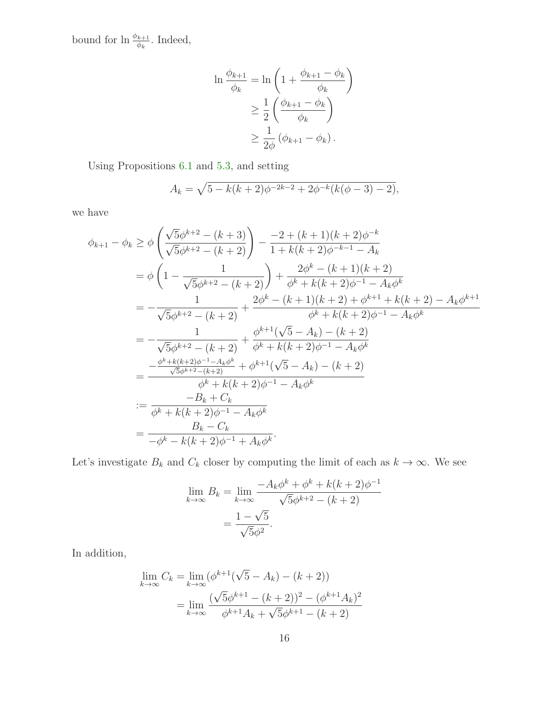bound for  $\ln \frac{\phi_{k+1}}{\phi_k}$ . Indeed,

$$
\ln \frac{\phi_{k+1}}{\phi_k} = \ln \left( 1 + \frac{\phi_{k+1} - \phi_k}{\phi_k} \right)
$$

$$
\geq \frac{1}{2} \left( \frac{\phi_{k+1} - \phi_k}{\phi_k} \right)
$$

$$
\geq \frac{1}{2\phi} \left( \phi_{k+1} - \phi_k \right).
$$

Using Propositions [6.1](#page-13-2) and [5.3,](#page-10-0) and setting

$$
A_k = \sqrt{5 - k(k+2)\phi^{-2k-2} + 2\phi^{-k}(k(\phi-3) - 2)},
$$

we have

$$
\phi_{k+1} - \phi_k \ge \phi \left( \frac{\sqrt{5}\phi^{k+2} - (k+3)}{\sqrt{5}\phi^{k+2} - (k+2)} \right) - \frac{-2 + (k+1)(k+2)\phi^{-k}}{1 + k(k+2)\phi^{-k-1} - A_k}
$$
  
\n
$$
= \phi \left( 1 - \frac{1}{\sqrt{5}\phi^{k+2} - (k+2)} \right) + \frac{2\phi^k - (k+1)(k+2)}{\phi^k + k(k+2)\phi^{-1} - A_k\phi^k}
$$
  
\n
$$
= -\frac{1}{\sqrt{5}\phi^{k+2} - (k+2)} + \frac{2\phi^k - (k+1)(k+2) + \phi^{k+1} + k(k+2) - A_k\phi^{k+1}}{\phi^k + k(k+2)\phi^{-1} - A_k\phi^k}
$$
  
\n
$$
= -\frac{1}{\sqrt{5}\phi^{k+2} - (k+2)} + \frac{\phi^{k+1}(\sqrt{5} - A_k) - (k+2)}{\phi^k + k(k+2)\phi^{-1} - A_k\phi^k}
$$
  
\n
$$
= \frac{-\frac{\phi^k + k(k+2)\phi^{-1} - A_k\phi^k}{\phi^k + k(k+2)\phi^{-1} - A_k\phi^k}}{\phi^k + k(k+2)\phi^{-1} - A_k\phi^k}
$$
  
\n
$$
:= \frac{-B_k + C_k}{\phi^k + k(k+2)\phi^{-1} - A_k\phi^k}
$$
  
\n
$$
= \frac{-B_k + C_k}{-\phi^k - k(k+2)\phi^{-1} + A_k\phi^k}.
$$

Let's investigate  $B_k$  and  $C_k$  closer by computing the limit of each as  $k \to \infty$ . We see

$$
\lim_{k \to \infty} B_k = \lim_{k \to \infty} \frac{-A_k \phi^k + \phi^k + k(k+2)\phi^{-1}}{\sqrt{5}\phi^{k+2} - (k+2)}
$$

$$
= \frac{1 - \sqrt{5}}{\sqrt{5}\phi^2}.
$$

In addition,

$$
\lim_{k \to \infty} C_k = \lim_{k \to \infty} (\phi^{k+1}(\sqrt{5} - A_k) - (k+2))
$$

$$
= \lim_{k \to \infty} \frac{(\sqrt{5}\phi^{k+1} - (k+2))^2 - (\phi^{k+1}A_k)^2}{\phi^{k+1}A_k + \sqrt{5}\phi^{k+1} - (k+2)}
$$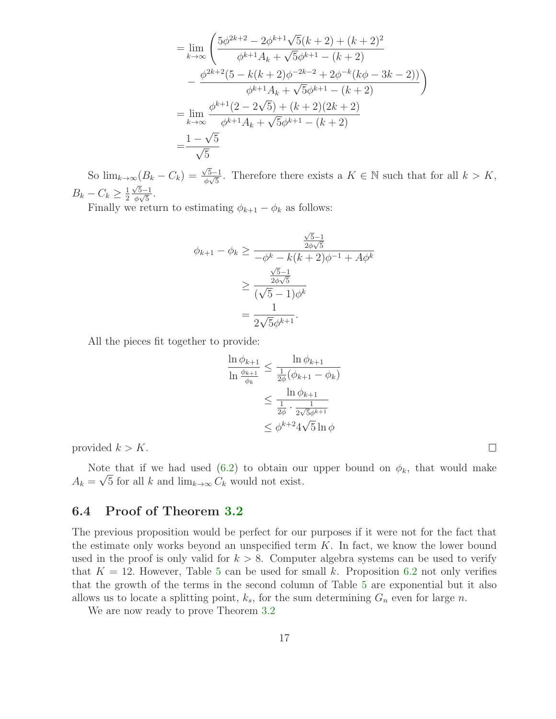$$
= \lim_{k \to \infty} \left( \frac{5\phi^{2k+2} - 2\phi^{k+1}\sqrt{5}(k+2) + (k+2)^2}{\phi^{k+1}A_k + \sqrt{5}\phi^{k+1} - (k+2)} - \frac{\phi^{2k+2}(5 - k(k+2)\phi^{-2k-2} + 2\phi^{-k}(k\phi - 3k - 2))}{\phi^{k+1}A_k + \sqrt{5}\phi^{k+1} - (k+2)} \right)
$$
  
\n
$$
= \lim_{k \to \infty} \frac{\phi^{k+1}(2 - 2\sqrt{5}) + (k+2)(2k+2)}{\phi^{k+1}A_k + \sqrt{5}\phi^{k+1} - (k+2)}
$$
  
\n
$$
= \frac{1 - \sqrt{5}}{\sqrt{5}}
$$

So  $\lim_{k\to\infty} (B_k - C_k) = \frac{\sqrt{5}-1}{\phi\sqrt{5}}$ . Therefore there exists a  $K \in \mathbb{N}$  such that for all  $k > K$ ,  $B_k - C_k \geq \frac{1}{2}$ 2  $\frac{\sqrt{5}-1}{\phi\sqrt{5}}$ .

Finally we return to estimating  $\phi_{k+1} - \phi_k$  as follows:

$$
\phi_{k+1} - \phi_k \ge \frac{\frac{\sqrt{5} - 1}{2\phi\sqrt{5}}}{-\phi^k - k(k+2)\phi^{-1} + A\phi^k}
$$

$$
\ge \frac{\frac{\sqrt{5} - 1}{2\phi\sqrt{5}}}{(\sqrt{5} - 1)\phi^k}
$$

$$
= \frac{1}{2\sqrt{5}\phi^{k+1}}.
$$

All the pieces fit together to provide:

$$
\frac{\ln \phi_{k+1}}{\ln \frac{\phi_{k+1}}{\phi_k}} \le \frac{\ln \phi_{k+1}}{\frac{1}{2\phi}(\phi_{k+1} - \phi_k)}
$$

$$
\le \frac{\ln \phi_{k+1}}{\frac{1}{2\phi} \cdot \frac{1}{2\sqrt{5}\phi^{k+1}}}
$$

$$
\le \phi^{k+2} 4\sqrt{5} \ln \phi
$$

provided  $k > K$ .

Note that if we had used [\(6.2\)](#page-14-1) to obtain our upper bound on  $\phi_k$ , that would make  $A_k = \sqrt{5}$  for all k and  $\lim_{k\to\infty} C_k$  would not exist.

#### 6.4 Proof of Theorem [3.2](#page-6-3)

The previous proposition would be perfect for our purposes if it were not for the fact that the estimate only works beyond an unspecified term  $K$ . In fact, we know the lower bound used in the proof is only valid for  $k > 8$ . Computer algebra systems can be used to verify that  $K = 12$ . However, Table [5](#page-14-0) can be used for small k. Proposition [6.2](#page-14-2) not only verifies that the growth of the terms in the second column of Table [5](#page-14-0) are exponential but it also allows us to locate a splitting point,  $k_s$ , for the sum determining  $G_n$  even for large n.

We are now ready to prove Theorem [3.2](#page-6-3)

 $\Box$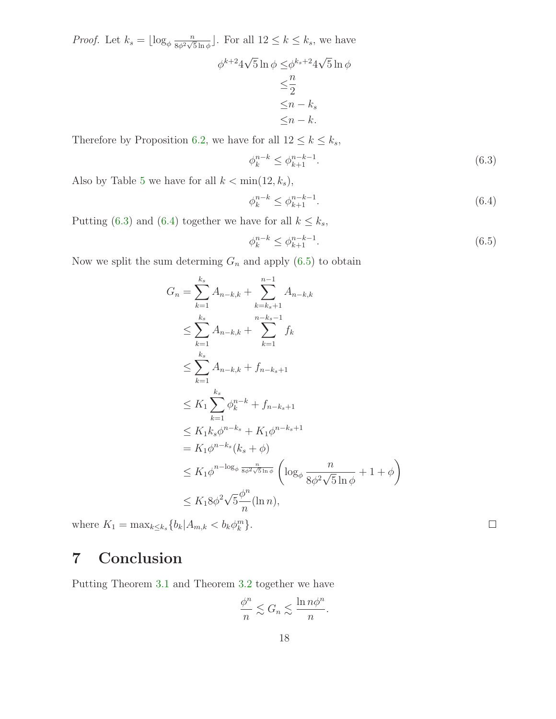*Proof.* Let  $k_s = \lfloor \log_\phi \frac{n}{8\phi^2 \sqrt{s}} \rfloor$  $\frac{n}{8\phi^2\sqrt{5}\ln\phi}$ . For all  $12 \leq k \leq k_s$ , we have

$$
\phi^{k+2}4\sqrt{5}\ln\phi \leq \phi^{k_s+2}4\sqrt{5}\ln\phi
$$

$$
\leq \frac{n}{2}
$$

$$
\leq n - k_s
$$

$$
\leq n - k.
$$

Therefore by Proposition [6.2,](#page-14-2) we have for all  $12 \leq k \leq k_s$ ,

<span id="page-17-0"></span>
$$
\phi_k^{n-k} \le \phi_{k+1}^{n-k-1}.\tag{6.3}
$$

Also by Table [5](#page-14-0) we have for all  $k < \min(12, k_s)$ ,

<span id="page-17-1"></span>
$$
\phi_k^{n-k} \le \phi_{k+1}^{n-k-1}.\tag{6.4}
$$

Putting [\(6.3\)](#page-17-0) and [\(6.4\)](#page-17-1) together we have for all  $k \leq k_s$ ,

<span id="page-17-2"></span>
$$
\phi_k^{n-k} \le \phi_{k+1}^{n-k-1}.\tag{6.5}
$$

 $\Box$ 

Now we split the sum determing  $G_n$  and apply  $(6.5)$  to obtain

$$
G_{n} = \sum_{k=1}^{k_{s}} A_{n-k,k} + \sum_{k=k_{s}+1}^{n-1} A_{n-k,k}
$$
  
\n
$$
\leq \sum_{k=1}^{k_{s}} A_{n-k,k} + \sum_{k=1}^{n-k_{s}-1} f_{k}
$$
  
\n
$$
\leq \sum_{k=1}^{k_{s}} A_{n-k,k} + f_{n-k_{s}+1}
$$
  
\n
$$
\leq K_{1} \sum_{k=1}^{k_{s}} \phi_{k}^{n-k} + f_{n-k_{s}+1}
$$
  
\n
$$
\leq K_{1} k_{s} \phi^{n-k_{s}} + K_{1} \phi^{n-k_{s}+1}
$$
  
\n
$$
= K_{1} \phi^{n-k_{s}} (k_{s} + \phi)
$$
  
\n
$$
\leq K_{1} \phi^{n-\log_{\phi}} \frac{n}{s\phi^{2}\sqrt{5} \ln \phi} \left( \log_{\phi} \frac{n}{8\phi^{2}\sqrt{5} \ln \phi} + 1 + \phi \right)
$$
  
\n
$$
\leq K_{1} 8\phi^{2} \sqrt{5} \frac{\phi^{n}}{n} (\ln n),
$$

where  $K_1 = \max_{k \le k_s} \{b_k | A_{m,k} < b_k \phi_k^m \}.$ 

# 7 Conclusion

Putting Theorem [3.1](#page-6-2) and Theorem [3.2](#page-6-3) together we have

$$
\frac{\phi^n}{n} \lesssim G_n \lesssim \frac{\ln n\phi^n}{n}.
$$